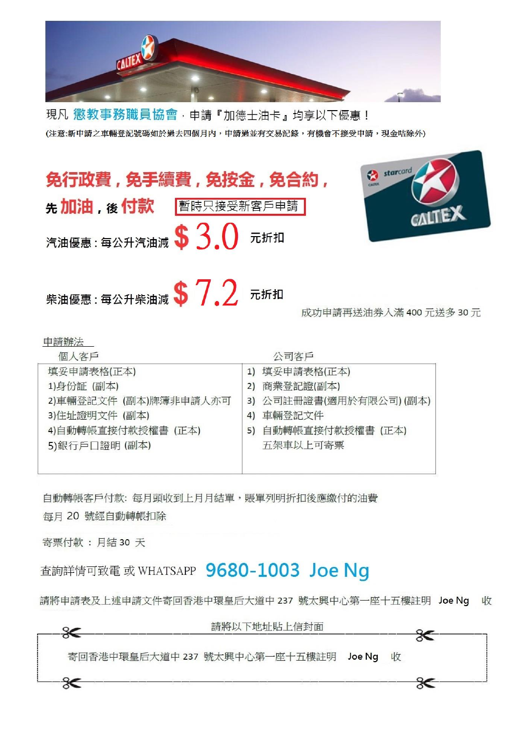

現凡 懲教事務職員協會,申請『加德士油卡』均享以下優惠! (注意:新申請之車輛登記號碼如於過去四個月內,申請過並有交易記錄,有機會不接受申請,現金咕除外)



| 1回八谷尸                 | 公里谷尸                    |
|-----------------------|-------------------------|
| 填妥申請表格(正本)            | 填妥申請表格(正本)<br>1)        |
| 1)身份証 (副本)            | 商業登記證(副本)<br>2)         |
| 2)車輛登記文件 (副本)牌簿非申請人亦可 | 3) 公司註冊證書(適用於有限公司) (副本) |
| 3)住址證明文件 (副本)         | 車輛登記文件<br>4)            |
| 4)自動轉帳直接付款授權書 (正本)    | 5) 自動轉帳直接付款授權書 (正本)     |
| 5)銀行戶口證明 (副本)         | 五架車以上可寄票                |
|                       |                         |
|                       |                         |

自動轉帳客戶付款: 每月頭收到上月月結單,賬單列明折扣後應繳付的油費

每月 20 號經自動轉帳扣除

寄票付款:月結30天

查詢詳情可致電 或 WHATSAPP 9680-1003 Joe Ng

請將申請表及上述申請文件寄回香港中環皇后大道中 237 號太興中心第一座十五樓註明 Joe Ng 收

| 寄回香港中環皇后大道中 237 號太興中心第一座十五樓註明 Joe Ng 收 |  |  |
|----------------------------------------|--|--|
|                                        |  |  |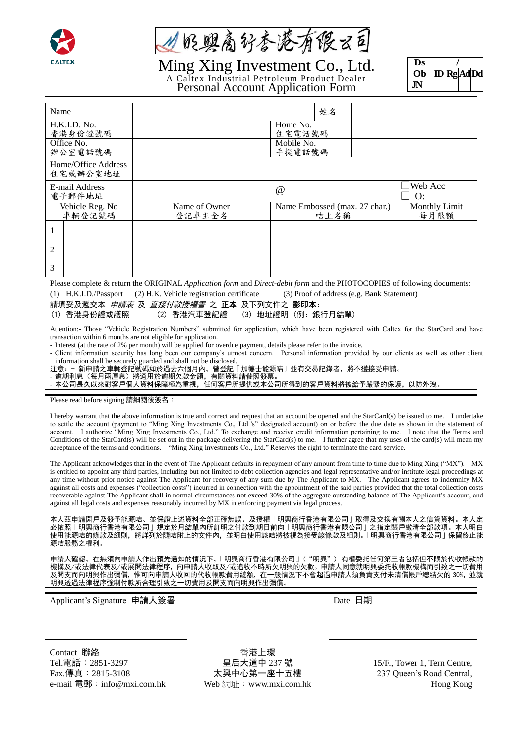

从贬婴高好杏港有很云司

Ming Xing Investment Co., Ltd.

A Caltex Industrial Petroleum Product Dealer

**Ds / Ob ID Rg AdDd JN**

Personal Account Application Form

| Name                            |                         |                               | 姓名   |                              |
|---------------------------------|-------------------------|-------------------------------|------|------------------------------|
| H.K.I.D. No.<br>香港身份證號碼         |                         | Home No.<br>住宅電話號碼            |      |                              |
| Office No.<br>辦公室電話號碼           |                         | Mobile No.<br>手提電話號碼          |      |                              |
| Home/Office Address<br>住宅或辦公室地址 |                         |                               |      |                              |
| E-mail Address<br>電子郵件地址        |                         | @                             |      | Web Acc<br>O:                |
| Vehicle Reg. No<br>車輛登記號碼       | Name of Owner<br>登記車主全名 | Name Embossed (max. 27 char.) | 咭上名稱 | <b>Monthly Limit</b><br>每月限額 |
|                                 |                         |                               |      |                              |
| 2                               |                         |                               |      |                              |
| 3                               |                         |                               |      |                              |

Please complete & return the ORIGINAL *Application form* and *Direct-debit form* and the PHOTOCOPIES of following documents: (1) H.K.I.D./Passport (2) H.K. Vehicle registration certificate (3) Proof of address (e.g. Bank Statement)

|  | 請填妥及遞交本 <i>申請表 及 直接付款授權書</i> 之 <b>正本</b> 及下列文件之 <b>影印本:</b> |  |  |
|--|-------------------------------------------------------------|--|--|
|  |                                                             |  |  |

(1) 香港身份證或護照 (2) 香港汽車登記證 (3) 地址證明 (例:銀行月結單)

Attention:- Those "Vehicle Registration Numbers" submitted for application, which have been registered with Caltex for the StarCard and have transaction within 6 months are not eligible for application.

- Interest (at the rate of 2% per month) will be applied for overdue payment, details please refer to the invoice.

- Client information security has long been our company's utmost concern. Personal information provided by our clients as well as other client information shall be securely guarded and shall not be disclosed.

注意:- 新申請之車輛登記號碼如於過去六個月內,曾登記『加德士能源咭』並有交易記錄者,將不獲接受申請。

- 逾期利息(每月兩厘息)將適用於逾期欠款金額,有關資料請參照發票。

- 本公司長久以來對客戶個人資料保障極為重視,任何客戶所提供或本公司所得到的客戶資料將被給予嚴緊的保護,以防外洩。

Please read before signing 請細閱後簽名:

I hereby warrant that the above information is true and correct and request that an account be opened and the StarCard(s) be issued to me. I undertake to settle the account (payment to "Ming Xing Investments Co., Ltd.'s" designated account) on or before the due date as shown in the statement of account. I authorize "Ming Xing Investments Co., Ltd." To exchange and receive credit information pertaining to me. I note that the Terms and Conditions of the StarCard(s) will be set out in the package delivering the StarCard(s) to me. I further agree that my uses of the card(s) will mean my acceptance of the terms and conditions. "Ming Xing Investments Co., Ltd." Reserves the right to terminate the card service.

The Applicant acknowledges that in the event of The Applicant defaults in repayment of any amount from time to time due to Ming Xing ("MX"). MX is entitled to appoint any third parties, including but not limited to debt collection agencies and legal representative and/or institute legal proceedings at any time without prior notice against The Applicant for recovery of any sum due by The Applicant to MX. The Applicant agrees to indemnify MX against all costs and expenses ("collection costs") incurred in connection with the appointment of the said parties provided that the total collection costs recoverable against The Applicant shall in normal circumstances not exceed 30% of the aggregate outstanding balance of The Applicant's account, and against all legal costs and expenses reasonably incurred by MX in enforcing payment via legal process.

本人茲申請開戶及發予能源咭、並保證上述資料全部正確無誤、及授權「明興商行香港有限公司」取得及交換有關本人之信貸資料。本人定 必依照「明興商行香港有限公司」規定於月結單內所訂明之付款到期日前向「明興商行香港有限公司」之指定賬戶繳清全部款項。本人明白 使用能源咭的條款及細則,將詳列於隨咭附上的文件內,並明白使用該咭將被視為接受該條款及細則。「明興商行香港有限公司」保留終止能 源咭服務之權利。

申請人確認,在無須向申請人作出預先通知的情況下,「明興商行香港有限公司」("明興") 有權委托任何第三者包括但不限於代收帳款的 機構及/或法律代表及/或展開法律程序,向申請人收取及/或追收不時所欠明興的欠款。申請人同意就明興委托收帳款機構而引致之一切費用 及開支而向明興作出彌償,惟可向申請人收回的代收帳款費用總額,在一般情況下不會超過申請人須負責支付未清償帳戶總結欠的 30%,並就 明興透過法律程序強制付款所合理引致之一切費用及開支而向明興作出彌償。

Applicant's Signature 申請人簽署 Date 日期

Contact 聯絡 Tel.電話:2851-3297 Fax.傳真:2815-3108 e-mail 電郵:info@mxi.com.hk

香港上環 皇后大道中 237 號 太興中心第一座十五樓 Web 網址: www.mxi.com.hk

15/F., Tower 1, Tern Centre, 237 Queen's Road Central, Hong Kong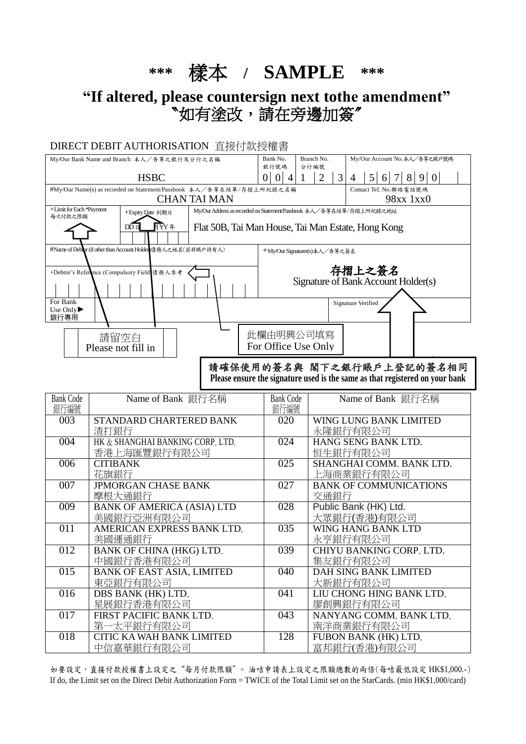**\*\*\*** 樣本 **/ SAMPLE \*\*\***

**"If altered, please countersign next tothe amendment"** 〝如有塗改,請在旁邊加簽〞

## DIRECT DEBIT AUTHORISATION 直接付款授權書

| My/Our Bank Name and Branch 本人/吾等之銀行及分行之名稱                                   |                                                               | Bank No.<br>銀行號碼                                                    | Branch No.<br>分行編號            |                | My/Our Account No.本人/吾等之賬戶號碼 |                                                                      |
|------------------------------------------------------------------------------|---------------------------------------------------------------|---------------------------------------------------------------------|-------------------------------|----------------|------------------------------|----------------------------------------------------------------------|
|                                                                              | <b>HSBC</b>                                                   |                                                                     |                               | $\overline{2}$ | 3                            | $\mathfrak{H}$<br>9<br>$\Omega$<br>8<br>4<br>6                       |
| #My/Our Name(s) as recorded on Statement/Passbook 本人/吾等在結單/存摺上所紀錄之名稱         |                                                               |                                                                     |                               |                |                              | Contact Tel. No.聯絡電話號碼                                               |
|                                                                              |                                                               | <b>CHAN TAI MAN</b>                                                 |                               |                |                              | 98xx 1xx0                                                            |
| +Limit for Each *Payment<br>每次付款之限額                                          | +Expiry Date 到期日                                              | My/Our Address as recorded on Statement/Passbook 本人/吾等在結單/存摺上所紀錄之地址 |                               |                |                              |                                                                      |
|                                                                              | 目YY 年<br>DDE                                                  | Flat 50B, Tai Man House, Tai Man Estate, Hong Kong                  |                               |                |                              |                                                                      |
|                                                                              |                                                               |                                                                     |                               |                |                              |                                                                      |
|                                                                              | #Name of Debbor (if other than Account Holden)債務人之姓名(若非賬戶持有人) |                                                                     | +My/Our Signaturer(s)本人/吾等之簽名 |                |                              |                                                                      |
|                                                                              |                                                               |                                                                     |                               |                |                              | 存摺上之簽名                                                               |
|                                                                              | +Debtor's Reference (Compulsory Field 債務人參考                   |                                                                     |                               |                |                              | Signature of Bank Account Holder(s)                                  |
|                                                                              |                                                               |                                                                     |                               |                |                              |                                                                      |
| For Bank                                                                     | <b>Signature Verified</b>                                     |                                                                     |                               |                |                              |                                                                      |
| Use Only $\blacktriangleright$<br>銀行專用                                       |                                                               |                                                                     |                               |                |                              |                                                                      |
|                                                                              | 此欄由明興公司填寫                                                     |                                                                     |                               |                |                              |                                                                      |
| 請留空白                                                                         |                                                               |                                                                     |                               |                |                              |                                                                      |
| Please not fill in                                                           |                                                               |                                                                     | For Office Use Only           |                |                              |                                                                      |
|                                                                              | 請確保使用的簽名與 閣下之銀行賬戶上登記的簽名相同                                     |                                                                     |                               |                |                              |                                                                      |
| Please ensure the signature used is the same as that registered on your bank |                                                               |                                                                     |                               |                |                              |                                                                      |
| <b>Bank Code</b>                                                             | Name of Bank 銀行名稱                                             |                                                                     | <b>Bank Code</b>              |                |                              | Name of Bank 銀行名稱                                                    |
| 銀行編號                                                                         |                                                               |                                                                     | 銀行編號                          |                |                              |                                                                      |
| 003                                                                          | STANDARD CHARTERED BANK                                       |                                                                     | 020                           |                | WING LUNG BANK LIMITED       |                                                                      |
| 渣打銀行                                                                         |                                                               |                                                                     |                               |                | 永隆銀行有限公司                     |                                                                      |
|                                                                              | 004<br>HK & SHANGHAI BANKING CORP, LTD,                       |                                                                     | 024                           |                |                              | HANG SENG BANK LTD.                                                  |
|                                                                              | 香港上海匯豐銀行有限公司                                                  |                                                                     |                               |                |                              | 恒生銀行有限公司                                                             |
| 006                                                                          | <b>CITIBANK</b><br>キナキム・ハロ オー                                 |                                                                     | 025                           |                |                              | SHANGHAI COMM. BANK LTD.<br>가 <del>스 - 사</del> 새쓰시다 시구 - 카마 - 시 - 그러 |

| 006 | <b>CITIBANK</b>                   | 025              | SHANGHAI COMM. BANK LTD.      |
|-----|-----------------------------------|------------------|-------------------------------|
|     | 花旗銀行                              |                  | 上海商業銀行有限公司                    |
| 007 | <b>JPMORGAN CHASE BANK</b>        | 027              | <b>BANK OF COMMUNICATIONS</b> |
|     | 摩根大通銀行                            |                  | 交通銀行                          |
| 009 | <b>BANK OF AMERICA (ASIA) LTD</b> | 028              | Public Bank (HK) Ltd.         |
|     | 美國銀行亞洲有限公司                        |                  | 大眾銀行(香港)有限公司                  |
| 011 | AMERICAN EXPRESS BANK LTD.        | 035              | WING HANG BANK LTD            |
|     | 美國運通銀行                            |                  | 永亨銀行有限公司                      |
| 012 | BANK OF CHINA (HKG) LTD.          | $\overline{039}$ | CHIYU BANKING CORP, LTD.      |
|     | 中國銀行香港有限公司                        |                  | 集友銀行有限公司                      |
| 015 | <b>BANK OF EAST ASIA, LIMITED</b> | 040              | DAH SING BANK LIMITED         |
|     | 東亞銀行有限公司                          |                  | 大新銀行有限公司                      |
| 016 | DBS BANK (HK) LTD.                | 041              | LIU CHONG HING BANK LTD.      |
|     | 星展銀行香港有限公司                        |                  | 廖創興銀行有限公司                     |
| 017 | FIRST PACIFIC BANK LTD.           | 043              | NANYANG COMM, BANK LTD,       |
|     | 第一太平銀行有限公司                        |                  | 南洋商業銀行有限公司                    |
| 018 | CITIC KA WAH BANK LIMITED         | 128              | FUBON BANK (HK) LTD.          |
|     | 中信嘉華銀行有限公司                        |                  | 富邦銀行(香港)有限公司                  |

如要設定,直接付款授權書上設定之"每月付款限額"= 油咭申請表上設定之限額總數的兩倍(每咭最低設定 HK\$1,000.-) If do, the Limit set on the Direct Debit Authorization Form = TWICE of the Total Limit set on the StarCards. (min HK\$1,000/card)